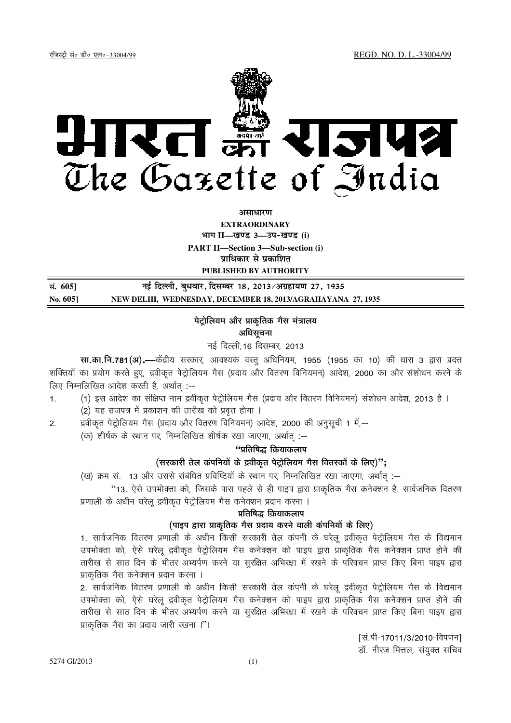

असाधारण

**EXTRAORDINARY** भाग II-खण्ड 3-उप-खण्ड (i) **PART II-Section 3-Sub-section (i)** प्राधिकार से प्रकाशित

PUBLISHED BY AUTHORITY

| सं. 605] | नई दिल्ली, बुधवार, दिसम्बर 18, 2013/अग्रहायण 27, 1935       |
|----------|-------------------------------------------------------------|
| No. 6051 | NEW DELHI, WEDNESDAY, DECEMBER 18, 2013/AGRAHAYANA 27, 1935 |

# पेट्रोलियम और प्राकृतिक गैस मंत्रालय अधिसूचना

नई दिल्ली,16 दिसम्बर, 2013

सा.का.नि.781(अ).—केंद्रीय सरकार, आवश्यक वस्तु अधिनियम, 1955 (1955 का 10) की धारा 3 द्वारा प्रदत्त शक्तियों का प्रयोग करते हुए, द्रवीकृत पेट्रोलियम गैस (प्रदाय और वितरण विनियमन) आदेश, 2000 का और संशोधन करने के लिए निम्नलिखित आदेश करती है, अर्थात :--

- (1) इस आदेश का संक्षिप्त नाम द्रवीकृत पेट्रोलियम गैस (प्रदाय और वितरण विनियमन) संशोधन आदेश, 2013 है ।  $1.$ 
	- (2) यह राजपत्र में प्रकाशन की तारीख को प्रवृत्त होगा ।

द्रवीकृत पेट्रोलियम गैस (प्रदाय और वितरण विनियमन) आदेश, 2000 की अनुसूची 1 में,-- $2.$ 

(क) शीर्षक के स्थान पर, निम्नलिखित शीर्षक रखा जाएगा, अर्थात :--

## ''प्रतिषिद्ध क्रियाकलाप

## (सरकारी तेल कंपनियों के द्रवीकृत पेट्रोलियम गैस वितरकों के लिए)";

(ख) क्रम सं. 13 और उससे संबंधित प्रविष्टियों के स्थान पर. निम्नलिखित रखा जाएगा, अर्थात :--

''13. ऐसे उपभोक्ता को, जिसके पास पहले से ही पाइप द्वारा प्राकृतिक गैस कनेक्शन है, सार्वजनिक वितरण

प्रणाली के अधीन घरेलू द्रवीकृत पेट्रोलियम गैस कनेक्शन प्रदान करना ।

# प्रतिषिद्ध क्रियाकलाप

# (पाइप द्वारा प्राकृतिक गैस प्रदाय करने वाली कंपनियों के लिए)

1. सार्वजनिक वितरण प्रणाली के अधीन किसी सरकारी तेल कंपनी के घरेलू द्रवीकृत पेट्रोलियम गैस के विद्यमान उपभोक्ता को, ऐसे घरेलु द्रवीकृत पेट्रोलियम गैस कनेक्शन को पाइप द्वारा प्राकृतिक गैस कनेक्शन प्राप्त होने की तारीख से साठ दिन के भीतर अभ्यर्पण करने या सूरक्षित अभिख्शा में रखने के परिवचन प्राप्त किए बिना पाइप द्वारा प्राकृतिक गैस कनेक्शन प्रदान करना ।

2. सार्वजनिक वितरण प्रणाली के अधीन किसी सरकारी तेल कंपनी के घरेल द्रवीकत पेटोलियम गैस के विद्यमान उपभोक्ता को, ऐसे घरेलू द्रवीकृत पेट्रोलियम गैस कनेक्शन को पाइप द्वारा प्राकृतिक गैस कनेक्शन प्राप्त होने की तारीख से साठ दिन के भीतर अभ्यर्पण करने या सुरक्षित अभिरक्षा में रखने के परिवचन प्राप्त किए बिना पाइप द्वारा प्राकृतिक गैस का प्रदाय जारी रखना ।''।

> [सं.पी-17011/3/2010-विपणन] डॉ. नीरज मित्तल, संयुक्त सचिव

5274 GI/2013